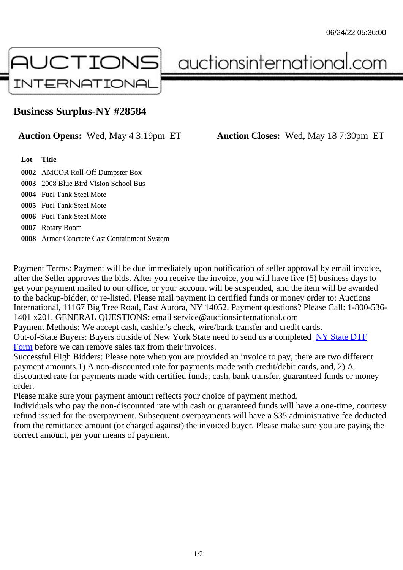## Business Surplus-NY #28584

## Auction Opens: Wed, May 4 3:19pm ET Auction Closes: Wed, May 18 7:30pm ET

Lot Title

0002 AMCOR Roll-Off Dumpster Box

- 0003 2008 Blue Bird Vision School Bus
- 0004 Fuel Tank Steel Mote

0005 Fuel Tank Steel Mote

0006 Fuel Tank Steel Mote

0007 Rotary Boom

0008 Armor Concrete Cast Containment System

Payment Terms: Payment will be due immediately upon notification of seller approval by email invoice, after the Seller approves the bids. After you receive the invoice, you will have five (5) business days to get your payment mailed to our office, or your account will be suspended, and the item will be awarded to the backup-bidder, or re-listed. Please mail payment in certified funds or money order to: Auctions International, 11167 Big Tree Road, East Aurora, NY 14052. Payment questions? Please Call: 1-800-53 1401 x201. GENERAL QUESTIONS: email service@auctionsinternational.com

Payment Methods: We accept cash, cashier's check, wire/bank transfer and credit cards.

Out-of-State Buyers: Buyers outside of New York State need to send us a com blestate DTF Form before we can remove sales tax from their invoices.

Successful High Bidders: Please note when you are provided an invoice to pay, there are two different payment amounts.1) A non-discounted rate for payments made with credit/de[bit cards, and](https://www.auctionsinternational.com/auxiliary/downloads/DTF_Form/dtf_fill_in.pdf), 2) A [disco](https://www.auctionsinternational.com/auxiliary/downloads/DTF_Form/dtf_fill_in.pdf)unted rate for payments made with certified funds; cash, bank transfer, guaranteed funds or mone order.

Please make sure your payment amount reflects your choice of payment method.

Individuals who pay the non-discounted rate with cash or guaranteed funds will have a one-time, courte refund issued for the overpayment. Subsequent overpayments will have a \$35 administrative fee deduc from the remittance amount (or charged against) the invoiced buyer. Please make sure you are paying correct amount, per your means of payment.